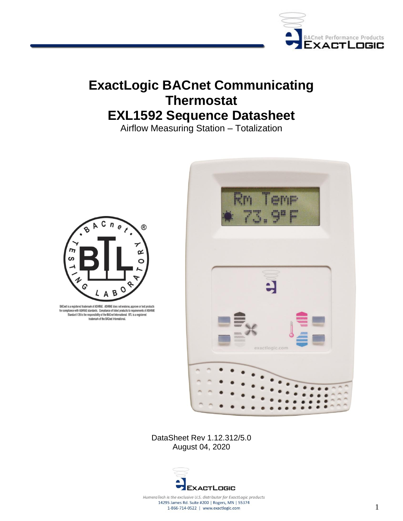

# **ExactLogic BACnet Communicating Thermostat EXL1592 Sequence Datasheet**

Airflow Measuring Station – Totalization



BACnet is a registered trademark of ASHRAE. ASHRAE does not endorse, approve or test products Examples to a response to account on the complement of ASHRAE<br>for complement of ASHRAE standards. Complement listed products to requirements of ASHRAE<br>Standard 135 is the responsibility of the BACnet International. BTL is



DataSheet Rev 1.12.312/5.0 August 04, 2020



HumeraTech is the exclusive U.S. distributor for ExactLogic products 14295 James Rd. Suite #200 | Rogers, MN | 55374 1-866-714-0522 | www.exactlogic.com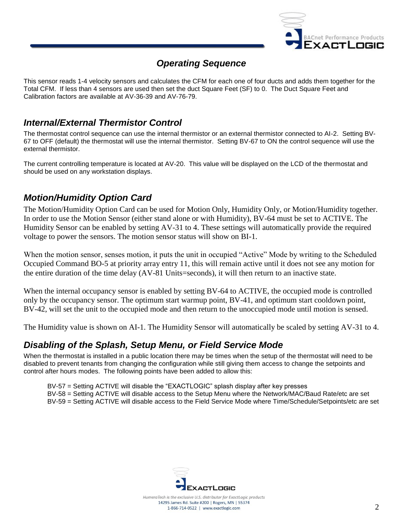

## *Operating Sequence*

This sensor reads 1-4 velocity sensors and calculates the CFM for each one of four ducts and adds them together for the Total CFM. If less than 4 sensors are used then set the duct Square Feet (SF) to 0. The Duct Square Feet and Calibration factors are available at AV-36-39 and AV-76-79.

## *Internal/External Thermistor Control*

The thermostat control sequence can use the internal thermistor or an external thermistor connected to AI-2. Setting BV-67 to OFF (default) the thermostat will use the internal thermistor. Setting BV-67 to ON the control sequence will use the external thermistor.

The current controlling temperature is located at AV-20. This value will be displayed on the LCD of the thermostat and should be used on any workstation displays.

## *Motion/Humidity Option Card*

The Motion/Humidity Option Card can be used for Motion Only, Humidity Only, or Motion/Humidity together. In order to use the Motion Sensor (either stand alone or with Humidity), BV-64 must be set to ACTIVE. The Humidity Sensor can be enabled by setting AV-31 to 4. These settings will automatically provide the required voltage to power the sensors. The motion sensor status will show on BI-1.

When the motion sensor, senses motion, it puts the unit in occupied "Active" Mode by writing to the Scheduled Occupied Command BO-5 at priority array entry 11, this will remain active until it does not see any motion for the entire duration of the time delay (AV-81 Units=seconds), it will then return to an inactive state.

When the internal occupancy sensor is enabled by setting BV-64 to ACTIVE, the occupied mode is controlled only by the occupancy sensor. The optimum start warmup point, BV-41, and optimum start cooldown point, BV-42, will set the unit to the occupied mode and then return to the unoccupied mode until motion is sensed.

The Humidity value is shown on AI-1. The Humidity Sensor will automatically be scaled by setting AV-31 to 4.

### *Disabling of the Splash, Setup Menu, or Field Service Mode*

When the thermostat is installed in a public location there may be times when the setup of the thermostat will need to be disabled to prevent tenants from changing the configuration while still giving them access to change the setpoints and control after hours modes. The following points have been added to allow this:

BV-57 = Setting ACTIVE will disable the "EXACTLOGIC" splash display after key presses BV-58 = Setting ACTIVE will disable access to the Setup Menu where the Network/MAC/Baud Rate/etc are set BV-59 = Setting ACTIVE will disable access to the Field Service Mode where Time/Schedule/Setpoints/etc are set

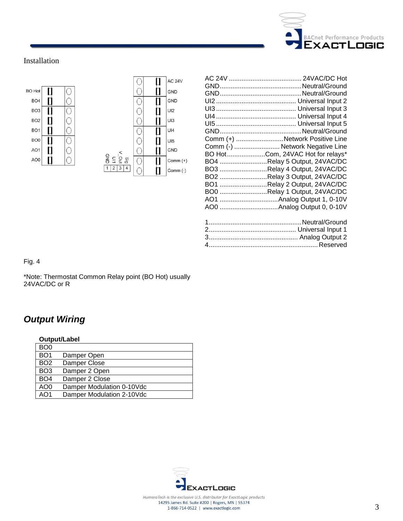

#### Installation



| Comm (+) Network Positive Line<br>Comm (-)  Network Negative Line<br>BO HotCom, 24VAC Hot for relays*<br>BO4 Relay 5 Output, 24VAC/DC<br>BO3 Relay 4 Output, 24VAC/DC |
|-----------------------------------------------------------------------------------------------------------------------------------------------------------------------|
|                                                                                                                                                                       |
| BO2 Relay 3 Output, 24VAC/DC                                                                                                                                          |
| BO1 Relay 2 Output, 24VAC/DC                                                                                                                                          |
| BO0 Relay 1 Output, 24VAC/DC                                                                                                                                          |
|                                                                                                                                                                       |
|                                                                                                                                                                       |
|                                                                                                                                                                       |

Fig. 4

\*Note: Thermostat Common Relay point (BO Hot) usually 24VAC/DC or R

## *Output Wiring*

| Output/Label    |                           |  |  |
|-----------------|---------------------------|--|--|
| BO <sub>0</sub> |                           |  |  |
| BO <sub>1</sub> | Damper Open               |  |  |
| BO <sub>2</sub> | Damper Close              |  |  |
| BO <sub>3</sub> | Damper 2 Open             |  |  |
| BO <sub>4</sub> | Damper 2 Close            |  |  |
| AO <sub>0</sub> | Damper Modulation 0-10Vdc |  |  |
| AO1             | Damper Modulation 2-10Vdc |  |  |

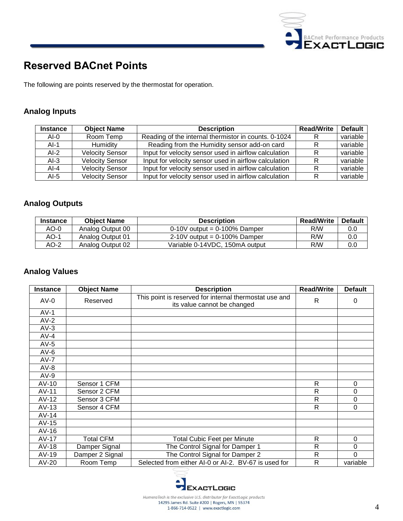

## **Reserved BACnet Points**

The following are points reserved by the thermostat for operation.

### **Analog Inputs**

| <b>Instance</b> | <b>Object Name</b>     | <b>Description</b>                                    | <b>Read/Write</b> | <b>Default</b> |
|-----------------|------------------------|-------------------------------------------------------|-------------------|----------------|
| $AI-0$          | Room Temp              | Reading of the internal thermistor in counts. 0-1024  |                   | variable       |
| $AI-1$          | Humidity               | Reading from the Humidity sensor add-on card          |                   | variable       |
| $AI-2$          | <b>Velocity Sensor</b> | Input for velocity sensor used in airflow calculation |                   | variable       |
| $AI-3$          | <b>Velocity Sensor</b> | Input for velocity sensor used in airflow calculation |                   | variable       |
| $AI-4$          | <b>Velocity Sensor</b> | Input for velocity sensor used in airflow calculation |                   | variable       |
| $AI-5$          | <b>Velocity Sensor</b> | Input for velocity sensor used in airflow calculation |                   | variable       |

### **Analog Outputs**

| <b>Instance</b> | <b>Object Name</b> | <b>Description</b>             | <b>Read/Write</b> | <b>Default</b> |
|-----------------|--------------------|--------------------------------|-------------------|----------------|
| AO-0            | Analog Output 00   | $0-10V$ output = 0-100% Damper | R/W               | 0.0            |
| AO-1            | Analog Output 01   | $2-10V$ output = 0-100% Damper | R/W               | 0.0            |
| AO-2            | Analog Output 02   | Variable 0-14VDC, 150mA output | R/W               | 0.0            |

### **Analog Values**

| <b>Instance</b> | <b>Object Name</b> | <b>Description</b>                                                                    | <b>Read/Write</b> | <b>Default</b> |
|-----------------|--------------------|---------------------------------------------------------------------------------------|-------------------|----------------|
| $AV-0$          | Reserved           | This point is reserved for internal thermostat use and<br>its value cannot be changed | $\mathsf{R}$      | 0              |
| $AV-1$          |                    |                                                                                       |                   |                |
| $AV-2$          |                    |                                                                                       |                   |                |
| $AV-3$          |                    |                                                                                       |                   |                |
| $AV-4$          |                    |                                                                                       |                   |                |
| $AV-5$          |                    |                                                                                       |                   |                |
| $AV-6$          |                    |                                                                                       |                   |                |
| $AV-7$          |                    |                                                                                       |                   |                |
| $AV-8$          |                    |                                                                                       |                   |                |
| $AV-9$          |                    |                                                                                       |                   |                |
| $AV-10$         | Sensor 1 CFM       |                                                                                       | R                 | $\Omega$       |
| AV-11           | Sensor 2 CFM       |                                                                                       | R                 | 0              |
| $AV-12$         | Sensor 3 CFM       |                                                                                       | R                 | $\mathbf 0$    |
| $AV-13$         | Sensor 4 CFM       |                                                                                       | R                 | $\Omega$       |
| $AV-14$         |                    |                                                                                       |                   |                |
| $AV-15$         |                    |                                                                                       |                   |                |
| $AV-16$         |                    |                                                                                       |                   |                |
| AV-17           | <b>Total CFM</b>   | <b>Total Cubic Feet per Minute</b>                                                    | R                 | 0              |
| $AV-18$         | Damper Signal      | The Control Signal for Damper 1                                                       | R                 | 0              |
| AV-19           | Damper 2 Signal    | The Control Signal for Damper 2                                                       | $\mathsf{R}$      | 0              |
| AV-20           | Room Temp          | Selected from either AI-0 or AI-2. BV-67 is used for                                  | R                 | variable       |

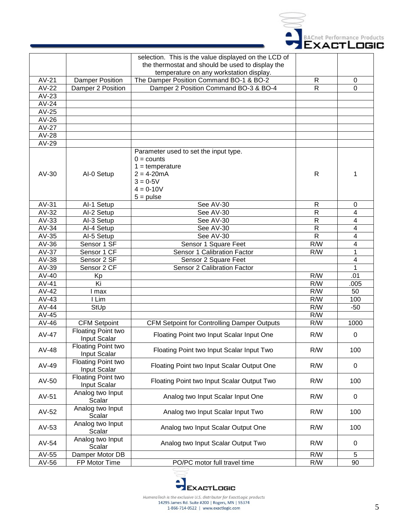

|         |                                           | selection. This is the value displayed on the LCD of<br>the thermostat and should be used to display the<br>temperature on any workstation display. |                |                |
|---------|-------------------------------------------|-----------------------------------------------------------------------------------------------------------------------------------------------------|----------------|----------------|
| $AV-21$ | Damper Position                           | The Damper Position Command BO-1 & BO-2                                                                                                             | R              | $\pmb{0}$      |
| AV-22   | Damper 2 Position                         | Damper 2 Position Command BO-3 & BO-4                                                                                                               | $\mathsf{R}$   | 0              |
| $AV-23$ |                                           |                                                                                                                                                     |                |                |
| AV-24   |                                           |                                                                                                                                                     |                |                |
| AV-25   |                                           |                                                                                                                                                     |                |                |
| AV-26   |                                           |                                                                                                                                                     |                |                |
| AV-27   |                                           |                                                                                                                                                     |                |                |
| AV-28   |                                           |                                                                                                                                                     |                |                |
| AV-29   |                                           |                                                                                                                                                     |                |                |
| AV-30   | Al-0 Setup                                | Parameter used to set the input type.<br>$0 =$ counts<br>$1 = temperature$<br>$2 = 4 - 20mA$<br>$3 = 0.5V$<br>$4 = 0 - 10V$<br>$5 = pulse$          | $\mathsf{R}$   | 1              |
| AV-31   | Al-1 Setup                                | See AV-30                                                                                                                                           | R              | 0              |
| $AV-32$ | Al-2 Setup                                | See AV-30                                                                                                                                           | $\mathsf{R}$   | 4              |
| $AV-33$ | Al-3 Setup                                | See AV-30                                                                                                                                           | $\mathsf{R}$   | $\overline{4}$ |
| AV-34   | Al-4 Setup                                | See AV-30                                                                                                                                           | $\mathsf{R}$   | 4              |
| AV-35   | Al-5 Setup                                | See AV-30                                                                                                                                           | $\mathsf{R}$   | $\overline{4}$ |
| AV-36   | Sensor 1 SF                               | Sensor 1 Square Feet                                                                                                                                | R/W            | 4              |
| AV-37   | Sensor 1 CF                               | Sensor 1 Calibration Factor                                                                                                                         | R/W            | 1              |
| AV-38   | Sensor 2 SF                               | Sensor 2 Square Feet                                                                                                                                |                | 4              |
| AV-39   | Sensor 2 CF                               | Sensor 2 Calibration Factor                                                                                                                         |                | 1              |
| AV-40   | Kp                                        |                                                                                                                                                     | R/W            | .01            |
| AV-41   | Ki                                        |                                                                                                                                                     | R/W            | .005           |
| AV-42   | l max                                     |                                                                                                                                                     | $\overline{R}$ | 50             |
| $AV-43$ | I Lim                                     |                                                                                                                                                     | R/W            | 100            |
| AV-44   | StUp                                      |                                                                                                                                                     | $\overline{R}$ | $-50$          |
| AV-45   |                                           |                                                                                                                                                     | R/W            |                |
| AV-46   | <b>CFM Setpoint</b>                       | <b>CFM Setpoint for Controlling Damper Outputs</b>                                                                                                  | R/W            | 1000           |
| AV-47   | <b>Floating Point two</b><br>Input Scalar | Floating Point two Input Scalar Input One                                                                                                           | R/W            | 0              |
| AV-48   | Floating Point two<br>Input Scalar        | Floating Point two Input Scalar Input Two                                                                                                           | R/W            | 100            |
| AV-49   | Floating Point two<br>Input Scalar        | Floating Point two Input Scalar Output One                                                                                                          | R/W            | 0              |
| AV-50   | Floating Point two<br>Input Scalar        | Floating Point two Input Scalar Output Two                                                                                                          | R/W            | 100            |
| AV-51   | Analog two Input<br>Scalar                | Analog two Input Scalar Input One                                                                                                                   | R/W            | 0              |
| AV-52   | Analog two Input<br>Scalar                | Analog two Input Scalar Input Two                                                                                                                   | R/W            | 100            |
| AV-53   | Analog two Input<br>Scalar                | Analog two Input Scalar Output One                                                                                                                  | R/W            | 100            |
| AV-54   | Analog two Input<br>Scalar                | Analog two Input Scalar Output Two                                                                                                                  | R/W            | 0              |
| AV-55   | Damper Motor DB                           |                                                                                                                                                     | R/W            | 5              |
| AV-56   | FP Motor Time                             | PO/PC motor full travel time                                                                                                                        | R/W            | 90             |

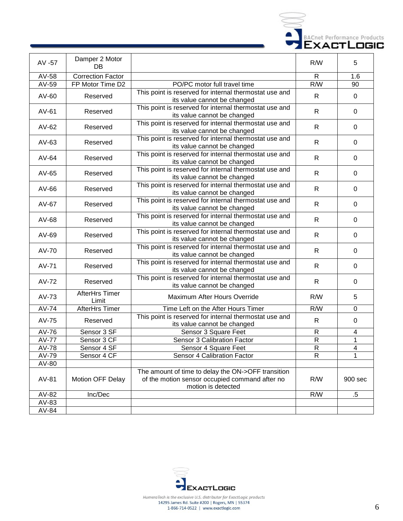

| AV -57       | Damper 2 Motor<br>DB     |                                                                                                                            | R/W            | 5           |
|--------------|--------------------------|----------------------------------------------------------------------------------------------------------------------------|----------------|-------------|
| AV-58        | <b>Correction Factor</b> |                                                                                                                            | $\mathsf{R}$   | 1.6         |
| AV-59        | FP Motor Time D2         | PO/PC motor full travel time                                                                                               | R/W            | 90          |
| AV-60        | Reserved                 | This point is reserved for internal thermostat use and<br>its value cannot be changed                                      | R              | $\mathbf 0$ |
| AV-61        | Reserved                 | This point is reserved for internal thermostat use and<br>its value cannot be changed                                      | $\mathsf{R}$   | 0           |
| $AV-62$      | Reserved                 | This point is reserved for internal thermostat use and<br>its value cannot be changed                                      | $\mathsf{R}$   | $\mathbf 0$ |
| AV-63        | Reserved                 | This point is reserved for internal thermostat use and<br>its value cannot be changed                                      | $\mathsf{R}$   | $\mathbf 0$ |
| AV-64        | Reserved                 | This point is reserved for internal thermostat use and<br>its value cannot be changed                                      | $\mathsf{R}$   | $\mathbf 0$ |
| AV-65        | Reserved                 | This point is reserved for internal thermostat use and<br>its value cannot be changed                                      | $\mathsf{R}$   | $\Omega$    |
| AV-66        | Reserved                 | This point is reserved for internal thermostat use and<br>its value cannot be changed                                      | $\mathsf{R}$   | $\Omega$    |
| AV-67        | Reserved                 | This point is reserved for internal thermostat use and<br>its value cannot be changed                                      | R              | 0           |
| AV-68        | Reserved                 | This point is reserved for internal thermostat use and<br>its value cannot be changed                                      | $\mathsf{R}$   | $\Omega$    |
| AV-69        | Reserved                 | This point is reserved for internal thermostat use and<br>its value cannot be changed                                      | R              | $\Omega$    |
| AV-70        | Reserved                 | This point is reserved for internal thermostat use and<br>its value cannot be changed                                      | $\mathsf{R}$   | $\mathbf 0$ |
| AV-71        | Reserved                 | This point is reserved for internal thermostat use and<br>its value cannot be changed                                      | $\mathsf{R}$   | $\Omega$    |
| AV-72        | Reserved                 | This point is reserved for internal thermostat use and<br>its value cannot be changed                                      | $\mathsf{R}$   | $\mathbf 0$ |
| AV-73        | AfterHrs Timer<br>Limit  | Maximum After Hours Override                                                                                               | R/W            | 5           |
| AV-74        | AfterHrs Timer           | Time Left on the After Hours Timer                                                                                         | R/W            | $\mathbf 0$ |
| AV-75        | Reserved                 | This point is reserved for internal thermostat use and<br>its value cannot be changed                                      | $\mathsf{R}$   | $\mathbf 0$ |
| AV-76        | Sensor 3 SF              | Sensor 3 Square Feet                                                                                                       | $\mathsf{R}$   | 4           |
| <b>AV-77</b> | Sensor 3 CF              | Sensor 3 Calibration Factor                                                                                                | ${\sf R}$      | 1           |
| $AV-78$      | Sensor 4 SF              | Sensor 4 Square Feet                                                                                                       | $\overline{R}$ | 4           |
| AV-79        | Sensor 4 CF              | Sensor 4 Calibration Factor                                                                                                | $\mathsf{R}$   | 1           |
| AV-80        |                          |                                                                                                                            |                |             |
| AV-81        | Motion OFF Delay         | The amount of time to delay the ON->OFF transition<br>of the motion sensor occupied command after no<br>motion is detected | R/W            | 900 sec     |
| AV-82        | Inc/Dec                  |                                                                                                                            | R/W            | $.5\,$      |
| AV-83        |                          |                                                                                                                            |                |             |
| AV-84        |                          |                                                                                                                            |                |             |

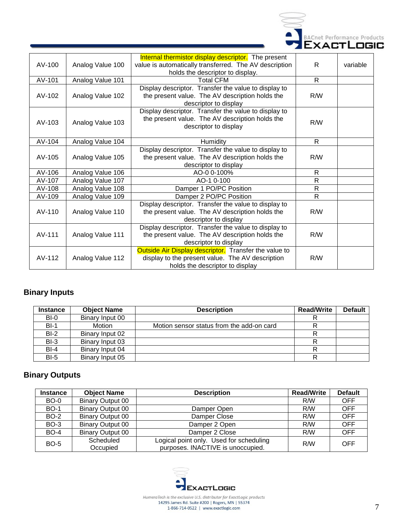

| AV-100   | Analog Value 100 | Internal thermistor display descriptor. The present<br>value is automatically transferred. The AV description<br>holds the descriptor to display. | $\mathsf{R}$ | variable |
|----------|------------------|---------------------------------------------------------------------------------------------------------------------------------------------------|--------------|----------|
| AV-101   | Analog Value 101 | <b>Total CFM</b>                                                                                                                                  | $\mathsf{R}$ |          |
| AV-102   | Analog Value 102 | Display descriptor. Transfer the value to display to<br>the present value. The AV description holds the<br>descriptor to display                  | R/W          |          |
| $AV-103$ | Analog Value 103 | Display descriptor. Transfer the value to display to<br>the present value. The AV description holds the<br>descriptor to display                  | R/W          |          |
| AV-104   | Analog Value 104 | Humidity                                                                                                                                          | R            |          |
| $AV-105$ | Analog Value 105 | Display descriptor. Transfer the value to display to<br>the present value. The AV description holds the<br>descriptor to display                  | R/W          |          |
| AV-106   | Analog Value 106 | AO-0 0-100%                                                                                                                                       | R            |          |
| AV-107   | Analog Value 107 | AO-1 0-100                                                                                                                                        | R            |          |
| AV-108   | Analog Value 108 | Damper 1 PO/PC Position                                                                                                                           | $\mathsf{R}$ |          |
| AV-109   | Analog Value 109 | Damper 2 PO/PC Position                                                                                                                           | $\mathsf{R}$ |          |
| $AV-110$ | Analog Value 110 | Display descriptor. Transfer the value to display to<br>the present value. The AV description holds the<br>descriptor to display                  | R/W          |          |
| AV-111   | Analog Value 111 | Display descriptor. Transfer the value to display to<br>the present value. The AV description holds the<br>descriptor to display                  | R/W          |          |
| AV-112   | Analog Value 112 | Outside Air Display descriptor. Transfer the value to<br>display to the present value. The AV description<br>holds the descriptor to display      | R/W          |          |

## **Binary Inputs**

| <b>Instance</b> | <b>Object Name</b> | <b>Description</b>                        | <b>Read/Write</b> | <b>Default</b> |
|-----------------|--------------------|-------------------------------------------|-------------------|----------------|
| $BI-0$          | Binary Input 00    |                                           |                   |                |
| $BI-1$          | Motion             | Motion sensor status from the add-on card | D                 |                |
| $BI-2$          | Binary Input 02    |                                           |                   |                |
| $BI-3$          | Binary Input 03    |                                           |                   |                |
| $BI-4$          | Binary Input 04    |                                           |                   |                |
| $BI-5$          | Binary Input 05    |                                           | R                 |                |

## **Binary Outputs**

| <b>Instance</b> | <b>Object Name</b>      | <b>Description</b>                                                           | <b>Read/Write</b> | <b>Default</b> |
|-----------------|-------------------------|------------------------------------------------------------------------------|-------------------|----------------|
| <b>BO-0</b>     | <b>Binary Output 00</b> |                                                                              | R/W               | <b>OFF</b>     |
| <b>BO-1</b>     | <b>Binary Output 00</b> | Damper Open                                                                  | R/W               | OFF            |
| <b>BO-2</b>     | <b>Binary Output 00</b> | Damper Close                                                                 | R/W               | <b>OFF</b>     |
| <b>BO-3</b>     | <b>Binary Output 00</b> | Damper 2 Open                                                                | R/W               | OFF            |
| <b>BO-4</b>     | <b>Binary Output 00</b> | Damper 2 Close                                                               | R/W               | <b>OFF</b>     |
| <b>BO-5</b>     | Scheduled<br>Occupied   | Logical point only. Used for scheduling<br>purposes. INACTIVE is unoccupied. | R/W               | OFF            |

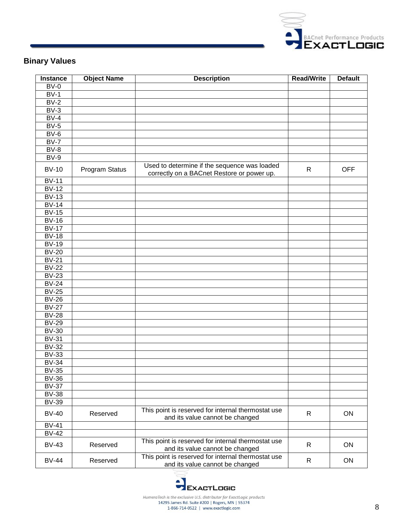

## **Binary Values**

| <b>Instance</b> | <b>Object Name</b> | <b>Description</b>                                                                         | <b>Read/Write</b> | <b>Default</b> |
|-----------------|--------------------|--------------------------------------------------------------------------------------------|-------------------|----------------|
| $BV-0$          |                    |                                                                                            |                   |                |
| $BV-1$          |                    |                                                                                            |                   |                |
| $BV-2$          |                    |                                                                                            |                   |                |
| $BV-3$          |                    |                                                                                            |                   |                |
| $BV-4$          |                    |                                                                                            |                   |                |
| $BV-5$          |                    |                                                                                            |                   |                |
| $BV-6$          |                    |                                                                                            |                   |                |
| $BV-7$          |                    |                                                                                            |                   |                |
| $BV-8$          |                    |                                                                                            |                   |                |
| $BV-9$          |                    |                                                                                            |                   |                |
| <b>BV-10</b>    | Program Status     | Used to determine if the sequence was loaded<br>correctly on a BACnet Restore or power up. | $\mathsf{R}$      | <b>OFF</b>     |
| $BV-11$         |                    |                                                                                            |                   |                |
| $BV-12$         |                    |                                                                                            |                   |                |
| $BV-13$         |                    |                                                                                            |                   |                |
| $BV-14$         |                    |                                                                                            |                   |                |
| $BV-15$         |                    |                                                                                            |                   |                |
| $BV-16$         |                    |                                                                                            |                   |                |
| $BV-17$         |                    |                                                                                            |                   |                |
| $BV-18$         |                    |                                                                                            |                   |                |
| <b>BV-19</b>    |                    |                                                                                            |                   |                |
| $BV-20$         |                    |                                                                                            |                   |                |
| $BV-21$         |                    |                                                                                            |                   |                |
| $BV-22$         |                    |                                                                                            |                   |                |
| $BV-23$         |                    |                                                                                            |                   |                |
| $BV-24$         |                    |                                                                                            |                   |                |
| $BV-25$         |                    |                                                                                            |                   |                |
| $BV-26$         |                    |                                                                                            |                   |                |
| $BV-27$         |                    |                                                                                            |                   |                |
| $BV-28$         |                    |                                                                                            |                   |                |
| $BV-29$         |                    |                                                                                            |                   |                |
| $BV-30$         |                    |                                                                                            |                   |                |
| <b>BV-31</b>    |                    |                                                                                            |                   |                |
| $BV-32$         |                    |                                                                                            |                   |                |
| $BV-33$         |                    |                                                                                            |                   |                |
| $BV-34$         |                    |                                                                                            |                   |                |
| $BV-35$         |                    |                                                                                            |                   |                |
| <b>BV-36</b>    |                    |                                                                                            |                   |                |
| <b>BV-37</b>    |                    |                                                                                            |                   |                |
| <b>BV-38</b>    |                    |                                                                                            |                   |                |
| <b>BV-39</b>    |                    |                                                                                            |                   |                |
| <b>BV-40</b>    | Reserved           | This point is reserved for internal thermostat use<br>and its value cannot be changed      | R                 | ON             |
| <b>BV-41</b>    |                    |                                                                                            |                   |                |
| <b>BV-42</b>    |                    |                                                                                            |                   |                |
| <b>BV-43</b>    | Reserved           | This point is reserved for internal thermostat use<br>and its value cannot be changed      | $\mathsf{R}$      | ON             |
| <b>BV-44</b>    | Reserved           | This point is reserved for internal thermostat use<br>and its value cannot be changed      | $\mathsf{R}$      | ON             |

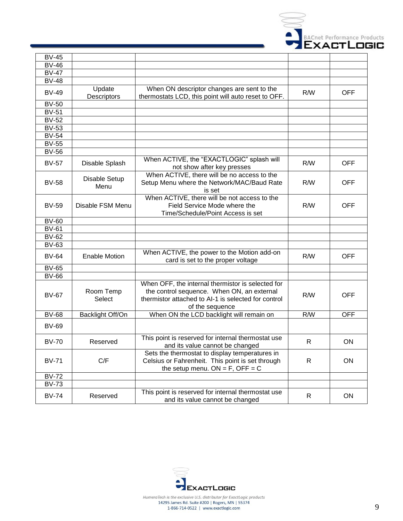

| <b>BV-45</b>        |                       |                                                                                                                                                                           |     |            |
|---------------------|-----------------------|---------------------------------------------------------------------------------------------------------------------------------------------------------------------------|-----|------------|
| <b>BV-46</b>        |                       |                                                                                                                                                                           |     |            |
| <b>BV-47</b>        |                       |                                                                                                                                                                           |     |            |
| <b>BV-48</b>        |                       |                                                                                                                                                                           |     |            |
| <b>BV-49</b>        | Update<br>Descriptors | When ON descriptor changes are sent to the<br>thermostats LCD, this point will auto reset to OFF.                                                                         | R/W | <b>OFF</b> |
| <b>BV-50</b>        |                       |                                                                                                                                                                           |     |            |
| <b>BV-51</b>        |                       |                                                                                                                                                                           |     |            |
| <b>BV-52</b>        |                       |                                                                                                                                                                           |     |            |
| <b>BV-53</b>        |                       |                                                                                                                                                                           |     |            |
| $BV-54$             |                       |                                                                                                                                                                           |     |            |
| <b>BV-55</b>        |                       |                                                                                                                                                                           |     |            |
| <b>BV-56</b>        |                       |                                                                                                                                                                           |     |            |
| <b>BV-57</b>        | Disable Splash        | When ACTIVE, the "EXACTLOGIC" splash will<br>not show after key presses                                                                                                   | R/W | <b>OFF</b> |
| <b>BV-58</b>        | Disable Setup<br>Menu | When ACTIVE, there will be no access to the<br>Setup Menu where the Network/MAC/Baud Rate<br>is set                                                                       | R/W | <b>OFF</b> |
| <b>BV-59</b>        | Disable FSM Menu      | When ACTIVE, there will be not access to the<br>Field Service Mode where the<br>Time/Schedule/Point Access is set                                                         | R/W | <b>OFF</b> |
| <b>BV-60</b>        |                       |                                                                                                                                                                           |     |            |
| <b>BV-61</b>        |                       |                                                                                                                                                                           |     |            |
| <b>BV-62</b>        |                       |                                                                                                                                                                           |     |            |
| <b>BV-63</b>        |                       |                                                                                                                                                                           |     |            |
| <b>BV-64</b>        | <b>Enable Motion</b>  | When ACTIVE, the power to the Motion add-on<br>card is set to the proper voltage                                                                                          | R/W | <b>OFF</b> |
| $\overline{BV}$ -65 |                       |                                                                                                                                                                           |     |            |
| <b>BV-66</b>        |                       |                                                                                                                                                                           |     |            |
| <b>BV-67</b>        | Room Temp<br>Select   | When OFF, the internal thermistor is selected for<br>the control sequence. When ON, an external<br>thermistor attached to AI-1 is selected for control<br>of the sequence | R/W | <b>OFF</b> |
| <b>BV-68</b>        | Backlight Off/On      | When ON the LCD backlight will remain on                                                                                                                                  | R/W | <b>OFF</b> |
| <b>BV-69</b>        |                       |                                                                                                                                                                           |     |            |
| <b>BV-70</b>        | Reserved              | This point is reserved for internal thermostat use<br>and its value cannot be changed                                                                                     | R   | ON         |
| <b>BV-71</b>        | C/F                   | Sets the thermostat to display temperatures in<br>Celsius or Fahrenheit. This point is set through<br>the setup menu. $ON = F$ , OFF = C                                  | R.  | ON         |
| <b>BV-72</b>        |                       |                                                                                                                                                                           |     |            |
| $\overline{BV}$ -73 |                       |                                                                                                                                                                           |     |            |
| <b>BV-74</b>        | Reserved              | This point is reserved for internal thermostat use<br>and its value cannot be changed                                                                                     | R   | ON         |